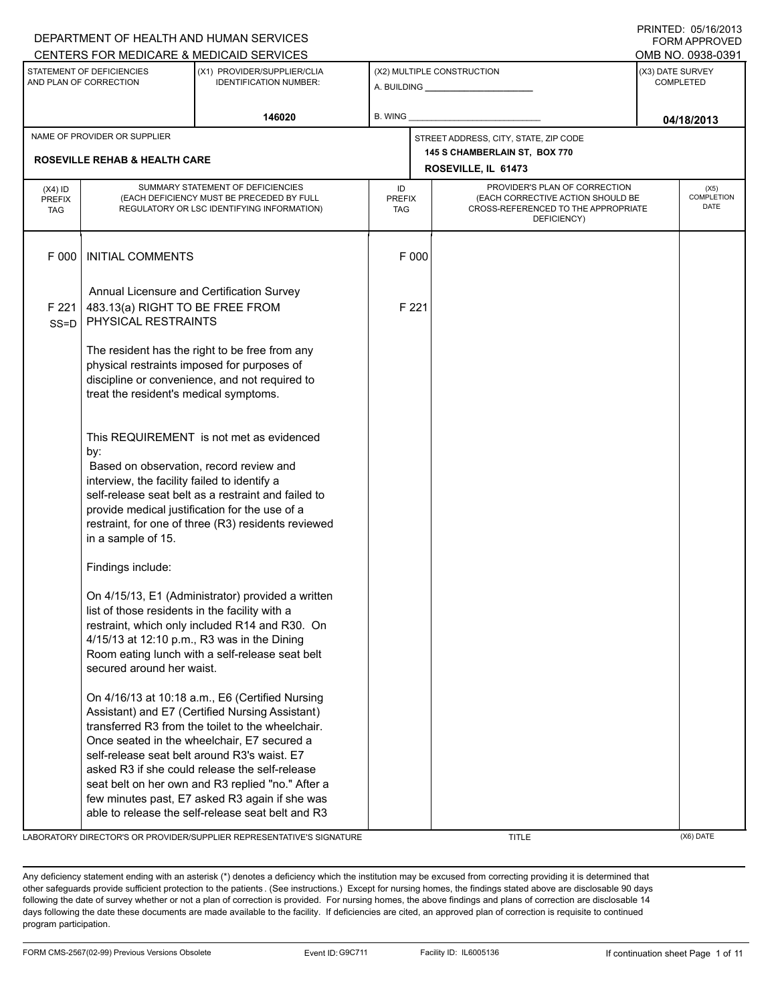|                                          |                                                                                                                                                                                                                                                                                                                                  | DEPARTMENT OF HEALTH AND HUMAN SERVICES<br>CENTERS FOR MEDICARE & MEDICAID SERVICES                                                                                                                                                                                                                                                                                                                             |                                   |       |                                                                                                                          | <b>FORM APPROVED</b><br>OMB NO. 0938-0391 |
|------------------------------------------|----------------------------------------------------------------------------------------------------------------------------------------------------------------------------------------------------------------------------------------------------------------------------------------------------------------------------------|-----------------------------------------------------------------------------------------------------------------------------------------------------------------------------------------------------------------------------------------------------------------------------------------------------------------------------------------------------------------------------------------------------------------|-----------------------------------|-------|--------------------------------------------------------------------------------------------------------------------------|-------------------------------------------|
|                                          | STATEMENT OF DEFICIENCIES<br>AND PLAN OF CORRECTION                                                                                                                                                                                                                                                                              | (X1) PROVIDER/SUPPLIER/CLIA<br><b>IDENTIFICATION NUMBER:</b>                                                                                                                                                                                                                                                                                                                                                    |                                   |       | (X2) MULTIPLE CONSTRUCTION<br>A. BUILDING _________________                                                              | (X3) DATE SURVEY<br><b>COMPLETED</b>      |
|                                          |                                                                                                                                                                                                                                                                                                                                  | 146020                                                                                                                                                                                                                                                                                                                                                                                                          | B. WING                           |       |                                                                                                                          | 04/18/2013                                |
|                                          | NAME OF PROVIDER OR SUPPLIER<br><b>ROSEVILLE REHAB &amp; HEALTH CARE</b>                                                                                                                                                                                                                                                         |                                                                                                                                                                                                                                                                                                                                                                                                                 |                                   |       | STREET ADDRESS, CITY, STATE, ZIP CODE<br>145 S CHAMBERLAIN ST, BOX 770                                                   |                                           |
|                                          |                                                                                                                                                                                                                                                                                                                                  |                                                                                                                                                                                                                                                                                                                                                                                                                 |                                   |       | ROSEVILLE, IL 61473                                                                                                      |                                           |
| $(X4)$ ID<br><b>PREFIX</b><br><b>TAG</b> |                                                                                                                                                                                                                                                                                                                                  | SUMMARY STATEMENT OF DEFICIENCIES<br>(EACH DEFICIENCY MUST BE PRECEDED BY FULL<br>REGULATORY OR LSC IDENTIFYING INFORMATION)                                                                                                                                                                                                                                                                                    | ID<br><b>PREFIX</b><br><b>TAG</b> |       | PROVIDER'S PLAN OF CORRECTION<br>(EACH CORRECTIVE ACTION SHOULD BE<br>CROSS-REFERENCED TO THE APPROPRIATE<br>DEFICIENCY) | (X5)<br>COMPLETION<br>DATE                |
| F 000                                    | <b>INITIAL COMMENTS</b>                                                                                                                                                                                                                                                                                                          |                                                                                                                                                                                                                                                                                                                                                                                                                 |                                   | F 000 |                                                                                                                          |                                           |
| F 221<br>$SS = D$                        | 483.13(a) RIGHT TO BE FREE FROM<br>PHYSICAL RESTRAINTS                                                                                                                                                                                                                                                                           | Annual Licensure and Certification Survey                                                                                                                                                                                                                                                                                                                                                                       |                                   | F 221 |                                                                                                                          |                                           |
|                                          | treat the resident's medical symptoms.                                                                                                                                                                                                                                                                                           | The resident has the right to be free from any<br>physical restraints imposed for purposes of<br>discipline or convenience, and not required to                                                                                                                                                                                                                                                                 |                                   |       |                                                                                                                          |                                           |
|                                          | This REQUIREMENT is not met as evidenced<br>by:<br>Based on observation, record review and<br>interview, the facility failed to identify a<br>self-release seat belt as a restraint and failed to<br>provide medical justification for the use of a<br>restraint, for one of three (R3) residents reviewed<br>in a sample of 15. |                                                                                                                                                                                                                                                                                                                                                                                                                 |                                   |       |                                                                                                                          |                                           |
|                                          | Findings include:                                                                                                                                                                                                                                                                                                                |                                                                                                                                                                                                                                                                                                                                                                                                                 |                                   |       |                                                                                                                          |                                           |
|                                          | list of those residents in the facility with a<br>secured around her waist.                                                                                                                                                                                                                                                      | On 4/15/13, E1 (Administrator) provided a written<br>restraint, which only included R14 and R30. On<br>4/15/13 at 12:10 p.m., R3 was in the Dining<br>Room eating lunch with a self-release seat belt                                                                                                                                                                                                           |                                   |       |                                                                                                                          |                                           |
|                                          |                                                                                                                                                                                                                                                                                                                                  | On 4/16/13 at 10:18 a.m., E6 (Certified Nursing<br>Assistant) and E7 (Certified Nursing Assistant)<br>transferred R3 from the toilet to the wheelchair.<br>Once seated in the wheelchair, E7 secured a<br>self-release seat belt around R3's waist. E7<br>asked R3 if she could release the self-release<br>seat belt on her own and R3 replied "no." After a<br>few minutes past, E7 asked R3 again if she was |                                   |       |                                                                                                                          |                                           |
|                                          |                                                                                                                                                                                                                                                                                                                                  | able to release the self-release seat belt and R3<br>LABORATORY DIRECTOR'S OR PROVIDER/SUPPLIER REPRESENTATIVE'S SIGNATURE                                                                                                                                                                                                                                                                                      |                                   |       | <b>TITLE</b>                                                                                                             | (X6) DATE                                 |

DEPARTMENT OF HEALTH AND HUMAN SERVICES

PRINTED: 05/16/2013

Any deficiency statement ending with an asterisk (\*) denotes a deficiency which the institution may be excused from correcting providing it is determined that other safeguards provide sufficient protection to the patients . (See instructions.) Except for nursing homes, the findings stated above are disclosable 90 days following the date of survey whether or not a plan of correction is provided. For nursing homes, the above findings and plans of correction are disclosable 14 days following the date these documents are made available to the facility. If deficiencies are cited, an approved plan of correction is requisite to continued program participation.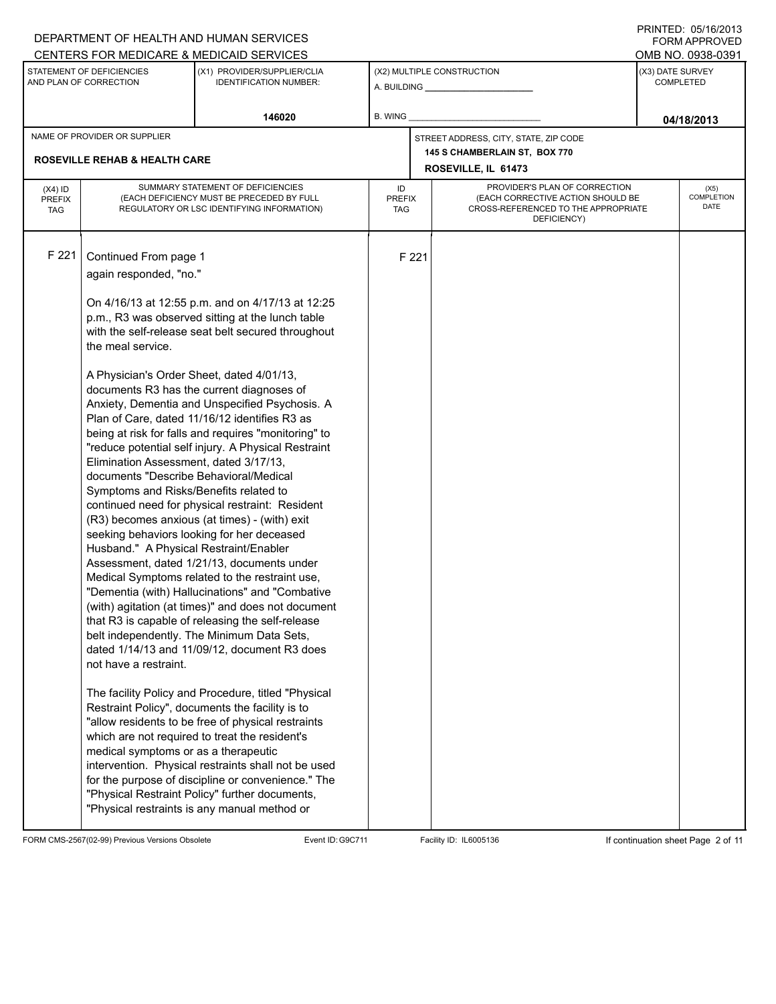|                                          |                                                                                                                                                                                                                                                                                                                                                            | DEPARTMENT OF HEALTH AND HUMAN SERVICES                                                                                                                                                                                                                                                                                                                                                                                                                                                                                                                                                                                                                                                                                                                                                                                                                                                                                                                                                                                                                                                                                                                                                                         |                            |       |                                                                                                                          |                               | טו ט∡ושו ו טא ניס∟ו אווי<br><b>FORM APPROVED</b> |
|------------------------------------------|------------------------------------------------------------------------------------------------------------------------------------------------------------------------------------------------------------------------------------------------------------------------------------------------------------------------------------------------------------|-----------------------------------------------------------------------------------------------------------------------------------------------------------------------------------------------------------------------------------------------------------------------------------------------------------------------------------------------------------------------------------------------------------------------------------------------------------------------------------------------------------------------------------------------------------------------------------------------------------------------------------------------------------------------------------------------------------------------------------------------------------------------------------------------------------------------------------------------------------------------------------------------------------------------------------------------------------------------------------------------------------------------------------------------------------------------------------------------------------------------------------------------------------------------------------------------------------------|----------------------------|-------|--------------------------------------------------------------------------------------------------------------------------|-------------------------------|--------------------------------------------------|
|                                          |                                                                                                                                                                                                                                                                                                                                                            | CENTERS FOR MEDICARE & MEDICAID SERVICES                                                                                                                                                                                                                                                                                                                                                                                                                                                                                                                                                                                                                                                                                                                                                                                                                                                                                                                                                                                                                                                                                                                                                                        |                            |       |                                                                                                                          |                               | OMB NO. 0938-0391                                |
|                                          | STATEMENT OF DEFICIENCIES<br>AND PLAN OF CORRECTION                                                                                                                                                                                                                                                                                                        | (X1) PROVIDER/SUPPLIER/CLIA<br><b>IDENTIFICATION NUMBER:</b>                                                                                                                                                                                                                                                                                                                                                                                                                                                                                                                                                                                                                                                                                                                                                                                                                                                                                                                                                                                                                                                                                                                                                    |                            |       | (X2) MULTIPLE CONSTRUCTION<br>A. BUILDING A. BUILDING                                                                    | (X3) DATE SURVEY<br>COMPLETED |                                                  |
|                                          |                                                                                                                                                                                                                                                                                                                                                            | 146020                                                                                                                                                                                                                                                                                                                                                                                                                                                                                                                                                                                                                                                                                                                                                                                                                                                                                                                                                                                                                                                                                                                                                                                                          | B. WING                    |       |                                                                                                                          |                               | 04/18/2013                                       |
|                                          | NAME OF PROVIDER OR SUPPLIER                                                                                                                                                                                                                                                                                                                               |                                                                                                                                                                                                                                                                                                                                                                                                                                                                                                                                                                                                                                                                                                                                                                                                                                                                                                                                                                                                                                                                                                                                                                                                                 |                            |       | STREET ADDRESS, CITY, STATE, ZIP CODE                                                                                    |                               |                                                  |
|                                          | <b>ROSEVILLE REHAB &amp; HEALTH CARE</b>                                                                                                                                                                                                                                                                                                                   |                                                                                                                                                                                                                                                                                                                                                                                                                                                                                                                                                                                                                                                                                                                                                                                                                                                                                                                                                                                                                                                                                                                                                                                                                 |                            |       | 145 S CHAMBERLAIN ST, BOX 770<br>ROSEVILLE, IL 61473                                                                     |                               |                                                  |
| $(X4)$ ID<br><b>PREFIX</b><br><b>TAG</b> |                                                                                                                                                                                                                                                                                                                                                            | SUMMARY STATEMENT OF DEFICIENCIES<br>(EACH DEFICIENCY MUST BE PRECEDED BY FULL<br>REGULATORY OR LSC IDENTIFYING INFORMATION)                                                                                                                                                                                                                                                                                                                                                                                                                                                                                                                                                                                                                                                                                                                                                                                                                                                                                                                                                                                                                                                                                    | ID<br><b>PREFIX</b><br>TAG |       | PROVIDER'S PLAN OF CORRECTION<br>(EACH CORRECTIVE ACTION SHOULD BE<br>CROSS-REFERENCED TO THE APPROPRIATE<br>DEFICIENCY) |                               | (X5)<br>COMPLETION<br>DATE                       |
| F 221                                    | Continued From page 1<br>again responded, "no."<br>the meal service.<br>A Physician's Order Sheet, dated 4/01/13,<br>Elimination Assessment, dated 3/17/13,<br>documents "Describe Behavioral/Medical<br>Symptoms and Risks/Benefits related to<br>Husband." A Physical Restraint/Enabler<br>not have a restraint.<br>medical symptoms or as a therapeutic | On 4/16/13 at 12:55 p.m. and on 4/17/13 at 12:25<br>p.m., R3 was observed sitting at the lunch table<br>with the self-release seat belt secured throughout<br>documents R3 has the current diagnoses of<br>Anxiety, Dementia and Unspecified Psychosis. A<br>Plan of Care, dated 11/16/12 identifies R3 as<br>being at risk for falls and requires "monitoring" to<br>"reduce potential self injury. A Physical Restraint<br>continued need for physical restraint: Resident<br>(R3) becomes anxious (at times) - (with) exit<br>seeking behaviors looking for her deceased<br>Assessment, dated 1/21/13, documents under<br>Medical Symptoms related to the restraint use,<br>"Dementia (with) Hallucinations" and "Combative<br>(with) agitation (at times)" and does not document<br>that R3 is capable of releasing the self-release<br>belt independently. The Minimum Data Sets,<br>dated 1/14/13 and 11/09/12, document R3 does<br>The facility Policy and Procedure, titled "Physical<br>Restraint Policy", documents the facility is to<br>"allow residents to be free of physical restraints<br>which are not required to treat the resident's<br>intervention. Physical restraints shall not be used |                            | F 221 |                                                                                                                          |                               |                                                  |
|                                          |                                                                                                                                                                                                                                                                                                                                                            | for the purpose of discipline or convenience." The<br>"Physical Restraint Policy" further documents,<br>"Physical restraints is any manual method or                                                                                                                                                                                                                                                                                                                                                                                                                                                                                                                                                                                                                                                                                                                                                                                                                                                                                                                                                                                                                                                            |                            |       |                                                                                                                          |                               |                                                  |

FORM CMS-2567(02-99) Previous Versions Obsolete Event ID:G9C711 Facility ID: IL6005136 If continuation sheet Page 2 of 11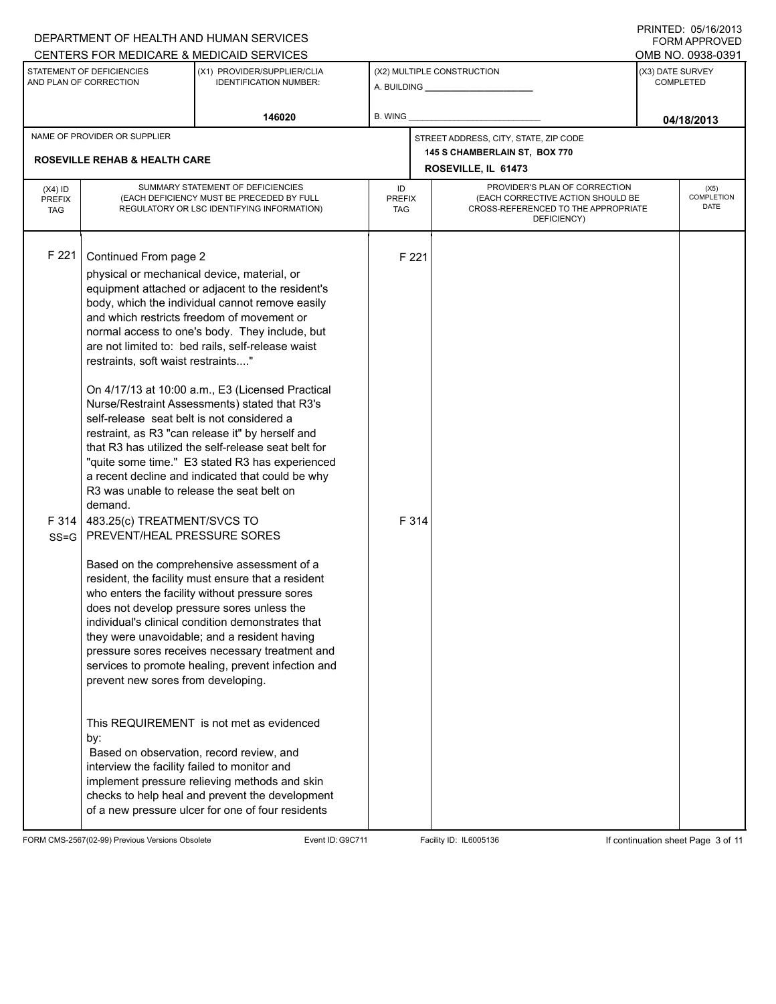|                                          |                                                                                                                                                                                                                                                                                                                                                                             | DEPARTMENT OF HEALTH AND HUMAN SERVICES<br>CENTERS FOR MEDICARE & MEDICAID SERVICES                                                                                                                                                                                                                                                                                                                                                                                                                                                                                                                                                                                                                                                                                                                                                                                                                                                                                                                                                                                                                                                                                                                                                                |                            |                |                                                                                                                          |                                      | טו ט∡וט ו עס . ש∟וי וו<br><b>FORM APPROVED</b><br>OMB NO. 0938-0391 |  |
|------------------------------------------|-----------------------------------------------------------------------------------------------------------------------------------------------------------------------------------------------------------------------------------------------------------------------------------------------------------------------------------------------------------------------------|----------------------------------------------------------------------------------------------------------------------------------------------------------------------------------------------------------------------------------------------------------------------------------------------------------------------------------------------------------------------------------------------------------------------------------------------------------------------------------------------------------------------------------------------------------------------------------------------------------------------------------------------------------------------------------------------------------------------------------------------------------------------------------------------------------------------------------------------------------------------------------------------------------------------------------------------------------------------------------------------------------------------------------------------------------------------------------------------------------------------------------------------------------------------------------------------------------------------------------------------------|----------------------------|----------------|--------------------------------------------------------------------------------------------------------------------------|--------------------------------------|---------------------------------------------------------------------|--|
|                                          | STATEMENT OF DEFICIENCIES<br>AND PLAN OF CORRECTION                                                                                                                                                                                                                                                                                                                         | (X1) PROVIDER/SUPPLIER/CLIA<br><b>IDENTIFICATION NUMBER:</b>                                                                                                                                                                                                                                                                                                                                                                                                                                                                                                                                                                                                                                                                                                                                                                                                                                                                                                                                                                                                                                                                                                                                                                                       |                            |                | (X2) MULTIPLE CONSTRUCTION                                                                                               | (X3) DATE SURVEY<br><b>COMPLETED</b> |                                                                     |  |
|                                          |                                                                                                                                                                                                                                                                                                                                                                             | 146020                                                                                                                                                                                                                                                                                                                                                                                                                                                                                                                                                                                                                                                                                                                                                                                                                                                                                                                                                                                                                                                                                                                                                                                                                                             | B. WING                    |                |                                                                                                                          |                                      | 04/18/2013                                                          |  |
|                                          | NAME OF PROVIDER OR SUPPLIER                                                                                                                                                                                                                                                                                                                                                |                                                                                                                                                                                                                                                                                                                                                                                                                                                                                                                                                                                                                                                                                                                                                                                                                                                                                                                                                                                                                                                                                                                                                                                                                                                    |                            |                | STREET ADDRESS, CITY, STATE, ZIP CODE                                                                                    |                                      |                                                                     |  |
|                                          | <b>ROSEVILLE REHAB &amp; HEALTH CARE</b>                                                                                                                                                                                                                                                                                                                                    |                                                                                                                                                                                                                                                                                                                                                                                                                                                                                                                                                                                                                                                                                                                                                                                                                                                                                                                                                                                                                                                                                                                                                                                                                                                    |                            |                | 145 S CHAMBERLAIN ST, BOX 770<br>ROSEVILLE, IL 61473                                                                     |                                      |                                                                     |  |
| $(X4)$ ID<br><b>PREFIX</b><br><b>TAG</b> |                                                                                                                                                                                                                                                                                                                                                                             | SUMMARY STATEMENT OF DEFICIENCIES<br>(EACH DEFICIENCY MUST BE PRECEDED BY FULL<br>REGULATORY OR LSC IDENTIFYING INFORMATION)                                                                                                                                                                                                                                                                                                                                                                                                                                                                                                                                                                                                                                                                                                                                                                                                                                                                                                                                                                                                                                                                                                                       | ID<br><b>PREFIX</b><br>TAG |                | PROVIDER'S PLAN OF CORRECTION<br>(EACH CORRECTIVE ACTION SHOULD BE<br>CROSS-REFERENCED TO THE APPROPRIATE<br>DEFICIENCY) |                                      | (X5)<br><b>COMPLETION</b><br>DATE                                   |  |
| F 221<br>F314<br>$SS = G$                | Continued From page 2<br>physical or mechanical device, material, or<br>restraints, soft waist restraints"<br>self-release seat belt is not considered a<br>R3 was unable to release the seat belt on<br>demand.<br>483.25(c) TREATMENT/SVCS TO<br>PREVENT/HEAL PRESSURE SORES<br>prevent new sores from developing.<br>by:<br>interview the facility failed to monitor and | equipment attached or adjacent to the resident's<br>body, which the individual cannot remove easily<br>and which restricts freedom of movement or<br>normal access to one's body. They include, but<br>are not limited to: bed rails, self-release waist<br>On 4/17/13 at 10:00 a.m., E3 (Licensed Practical<br>Nurse/Restraint Assessments) stated that R3's<br>restraint, as R3 "can release it" by herself and<br>that R3 has utilized the self-release seat belt for<br>"quite some time." E3 stated R3 has experienced<br>a recent decline and indicated that could be why<br>Based on the comprehensive assessment of a<br>resident, the facility must ensure that a resident<br>who enters the facility without pressure sores<br>does not develop pressure sores unless the<br>individual's clinical condition demonstrates that<br>they were unavoidable; and a resident having<br>pressure sores receives necessary treatment and<br>services to promote healing, prevent infection and<br>This REQUIREMENT is not met as evidenced<br>Based on observation, record review, and<br>implement pressure relieving methods and skin<br>checks to help heal and prevent the development<br>of a new pressure ulcer for one of four residents |                            | F 221<br>F 314 |                                                                                                                          |                                      |                                                                     |  |

FORM CMS-2567(02-99) Previous Versions Obsolete Event ID:G9C711 Facility ID: IL6005136 If continuation sheet Page 3 of 11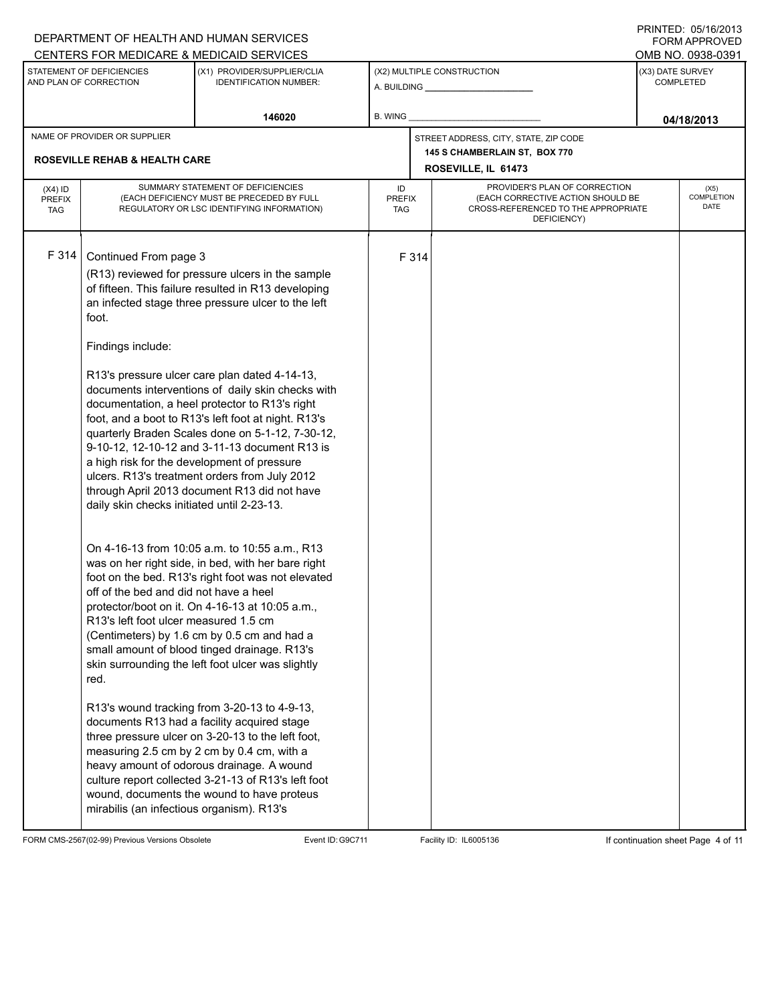| DEPARTMENT OF HEALTH AND HUMAN SERVICES                                                                                                                                                                                                                                                                                                                                                                                                                                                                                                                                                                                                                                                                                                                                                                                                                                                                                                                                                                                                                                                                                                                                                                                                                                                                                                                                                                                                                                                                             |                                                                                       |                                      |                                                                                                                                                                              | טו ט∡ושו ו טאי נש∟ו זו<br>FORM APPROVED                                                                                        |  |
|---------------------------------------------------------------------------------------------------------------------------------------------------------------------------------------------------------------------------------------------------------------------------------------------------------------------------------------------------------------------------------------------------------------------------------------------------------------------------------------------------------------------------------------------------------------------------------------------------------------------------------------------------------------------------------------------------------------------------------------------------------------------------------------------------------------------------------------------------------------------------------------------------------------------------------------------------------------------------------------------------------------------------------------------------------------------------------------------------------------------------------------------------------------------------------------------------------------------------------------------------------------------------------------------------------------------------------------------------------------------------------------------------------------------------------------------------------------------------------------------------------------------|---------------------------------------------------------------------------------------|--------------------------------------|------------------------------------------------------------------------------------------------------------------------------------------------------------------------------|--------------------------------------------------------------------------------------------------------------------------------|--|
| (X1) PROVIDER/SUPPLIER/CLIA<br><b>IDENTIFICATION NUMBER:</b>                                                                                                                                                                                                                                                                                                                                                                                                                                                                                                                                                                                                                                                                                                                                                                                                                                                                                                                                                                                                                                                                                                                                                                                                                                                                                                                                                                                                                                                        |                                                                                       |                                      | (X3) DATE SURVEY<br><b>COMPLETED</b>                                                                                                                                         |                                                                                                                                |  |
| 146020                                                                                                                                                                                                                                                                                                                                                                                                                                                                                                                                                                                                                                                                                                                                                                                                                                                                                                                                                                                                                                                                                                                                                                                                                                                                                                                                                                                                                                                                                                              | B. WING                                                                               |                                      |                                                                                                                                                                              | 04/18/2013                                                                                                                     |  |
| <b>ROSEVILLE REHAB &amp; HEALTH CARE</b>                                                                                                                                                                                                                                                                                                                                                                                                                                                                                                                                                                                                                                                                                                                                                                                                                                                                                                                                                                                                                                                                                                                                                                                                                                                                                                                                                                                                                                                                            |                                                                                       |                                      |                                                                                                                                                                              |                                                                                                                                |  |
| SUMMARY STATEMENT OF DEFICIENCIES<br>(EACH DEFICIENCY MUST BE PRECEDED BY FULL<br>REGULATORY OR LSC IDENTIFYING INFORMATION)                                                                                                                                                                                                                                                                                                                                                                                                                                                                                                                                                                                                                                                                                                                                                                                                                                                                                                                                                                                                                                                                                                                                                                                                                                                                                                                                                                                        | ID                                                                                    |                                      | (X5)<br><b>COMPLETION</b><br>DATE                                                                                                                                            |                                                                                                                                |  |
| Continued From page 3<br>(R13) reviewed for pressure ulcers in the sample<br>of fifteen. This failure resulted in R13 developing<br>an infected stage three pressure ulcer to the left<br>R13's pressure ulcer care plan dated 4-14-13,<br>documents interventions of daily skin checks with<br>documentation, a heel protector to R13's right<br>foot, and a boot to R13's left foot at night. R13's<br>quarterly Braden Scales done on 5-1-12, 7-30-12,<br>9-10-12, 12-10-12 and 3-11-13 document R13 is<br>a high risk for the development of pressure<br>ulcers. R13's treatment orders from July 2012<br>through April 2013 document R13 did not have<br>daily skin checks initiated until 2-23-13.<br>On 4-16-13 from 10:05 a.m. to 10:55 a.m., R13<br>was on her right side, in bed, with her bare right<br>foot on the bed. R13's right foot was not elevated<br>off of the bed and did not have a heel<br>protector/boot on it. On 4-16-13 at 10:05 a.m.,<br>R13's left foot ulcer measured 1.5 cm<br>(Centimeters) by 1.6 cm by 0.5 cm and had a<br>small amount of blood tinged drainage. R13's<br>skin surrounding the left foot ulcer was slightly<br>R13's wound tracking from 3-20-13 to 4-9-13,<br>documents R13 had a facility acquired stage<br>three pressure ulcer on 3-20-13 to the left foot,<br>measuring 2.5 cm by 2 cm by 0.4 cm, with a<br>heavy amount of odorous drainage. A wound<br>culture report collected 3-21-13 of R13's left foot<br>wound, documents the wound to have proteus |                                                                                       |                                      |                                                                                                                                                                              |                                                                                                                                |  |
|                                                                                                                                                                                                                                                                                                                                                                                                                                                                                                                                                                                                                                                                                                                                                                                                                                                                                                                                                                                                                                                                                                                                                                                                                                                                                                                                                                                                                                                                                                                     | CENTERS FOR MEDICARE & MEDICAID SERVICES<br>mirabilis (an infectious organism). R13's | <b>PREFIX</b><br><b>TAG</b><br>F 314 | (X2) MULTIPLE CONSTRUCTION<br>A. BUILDING <b>A. BUILDING</b><br>STREET ADDRESS, CITY, STATE, ZIP CODE<br>145 S CHAMBERLAIN ST, BOX 770<br>ROSEVILLE, IL 61473<br>DEFICIENCY) | OMB NO. 0938-0391<br>PROVIDER'S PLAN OF CORRECTION<br>(EACH CORRECTIVE ACTION SHOULD BE<br>CROSS-REFERENCED TO THE APPROPRIATE |  |

FORM CMS-2567(02-99) Previous Versions Obsolete Event ID:G9C711 Facility ID: IL6005136 If continuation sheet Page 4 of 11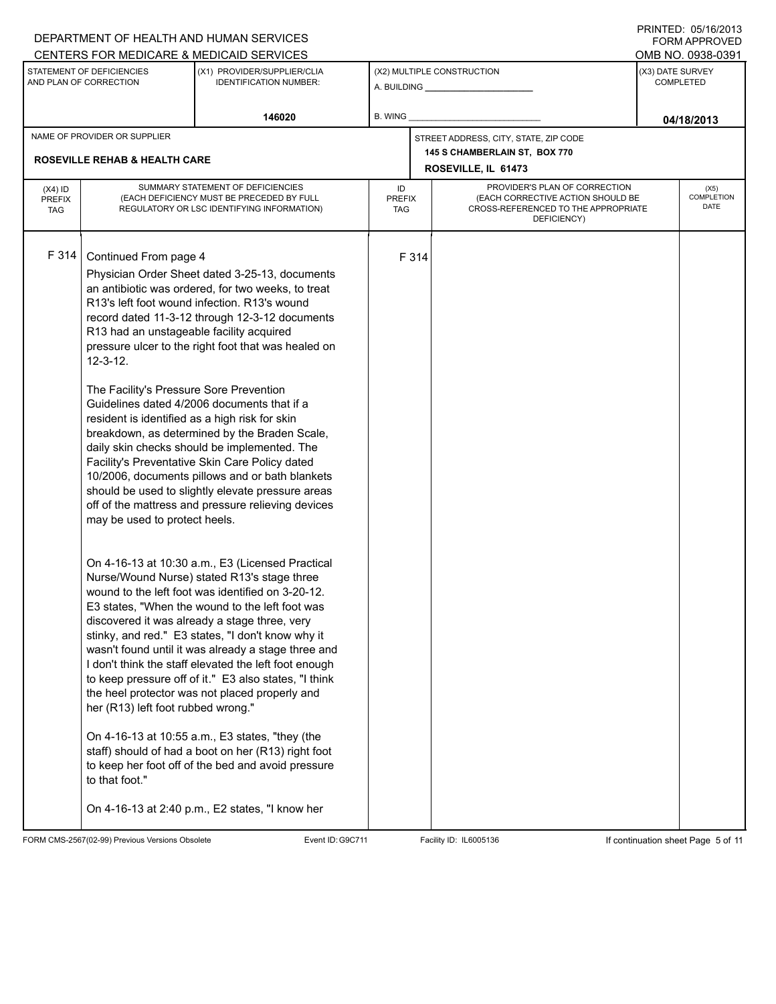|                                          |                                                                                                                                                                                                                                                                            | DEPARTMENT OF HEALTH AND HUMAN SERVICES<br>CENTERS FOR MEDICARE & MEDICAID SERVICES                                                                                                                                                                                                                                                                                                                                                                                                                                                                                                                                                                                                                                                                                                                                                                                                                                                                                                                                                                                                                                                                                                                                                                                                                                                                                                          |         |                                                                                                                                                         |                                                                        |                               | 11111 L D. 00/10/2010<br><b>FORM APPROVED</b><br>OMB NO. 0938-0391 |
|------------------------------------------|----------------------------------------------------------------------------------------------------------------------------------------------------------------------------------------------------------------------------------------------------------------------------|----------------------------------------------------------------------------------------------------------------------------------------------------------------------------------------------------------------------------------------------------------------------------------------------------------------------------------------------------------------------------------------------------------------------------------------------------------------------------------------------------------------------------------------------------------------------------------------------------------------------------------------------------------------------------------------------------------------------------------------------------------------------------------------------------------------------------------------------------------------------------------------------------------------------------------------------------------------------------------------------------------------------------------------------------------------------------------------------------------------------------------------------------------------------------------------------------------------------------------------------------------------------------------------------------------------------------------------------------------------------------------------------|---------|---------------------------------------------------------------------------------------------------------------------------------------------------------|------------------------------------------------------------------------|-------------------------------|--------------------------------------------------------------------|
|                                          | STATEMENT OF DEFICIENCIES<br>AND PLAN OF CORRECTION                                                                                                                                                                                                                        | (X1) PROVIDER/SUPPLIER/CLIA<br><b>IDENTIFICATION NUMBER:</b>                                                                                                                                                                                                                                                                                                                                                                                                                                                                                                                                                                                                                                                                                                                                                                                                                                                                                                                                                                                                                                                                                                                                                                                                                                                                                                                                 |         |                                                                                                                                                         | (X2) MULTIPLE CONSTRUCTION                                             | (X3) DATE SURVEY<br>COMPLETED |                                                                    |
|                                          |                                                                                                                                                                                                                                                                            | 146020                                                                                                                                                                                                                                                                                                                                                                                                                                                                                                                                                                                                                                                                                                                                                                                                                                                                                                                                                                                                                                                                                                                                                                                                                                                                                                                                                                                       | B. WING |                                                                                                                                                         |                                                                        |                               | 04/18/2013                                                         |
|                                          | NAME OF PROVIDER OR SUPPLIER                                                                                                                                                                                                                                               |                                                                                                                                                                                                                                                                                                                                                                                                                                                                                                                                                                                                                                                                                                                                                                                                                                                                                                                                                                                                                                                                                                                                                                                                                                                                                                                                                                                              |         |                                                                                                                                                         | STREET ADDRESS, CITY, STATE, ZIP CODE<br>145 S CHAMBERLAIN ST, BOX 770 |                               |                                                                    |
|                                          | <b>ROSEVILLE REHAB &amp; HEALTH CARE</b>                                                                                                                                                                                                                                   |                                                                                                                                                                                                                                                                                                                                                                                                                                                                                                                                                                                                                                                                                                                                                                                                                                                                                                                                                                                                                                                                                                                                                                                                                                                                                                                                                                                              |         |                                                                                                                                                         | ROSEVILLE, IL 61473                                                    |                               |                                                                    |
| $(X4)$ ID<br><b>PREFIX</b><br><b>TAG</b> |                                                                                                                                                                                                                                                                            | SUMMARY STATEMENT OF DEFICIENCIES<br>(EACH DEFICIENCY MUST BE PRECEDED BY FULL<br>REGULATORY OR LSC IDENTIFYING INFORMATION)                                                                                                                                                                                                                                                                                                                                                                                                                                                                                                                                                                                                                                                                                                                                                                                                                                                                                                                                                                                                                                                                                                                                                                                                                                                                 | ID      | PROVIDER'S PLAN OF CORRECTION<br>(EACH CORRECTIVE ACTION SHOULD BE<br><b>PREFIX</b><br>CROSS-REFERENCED TO THE APPROPRIATE<br><b>TAG</b><br>DEFICIENCY) |                                                                        |                               | (X5)<br>COMPLETION<br>DATE                                         |
| F 314                                    | Continued From page 4<br>R13 had an unstageable facility acquired<br>$12 - 3 - 12$ .<br>The Facility's Pressure Sore Prevention<br>resident is identified as a high risk for skin<br>may be used to protect heels.<br>her (R13) left foot rubbed wrong."<br>to that foot." | Physician Order Sheet dated 3-25-13, documents<br>an antibiotic was ordered, for two weeks, to treat<br>R13's left foot wound infection. R13's wound<br>record dated 11-3-12 through 12-3-12 documents<br>pressure ulcer to the right foot that was healed on<br>Guidelines dated 4/2006 documents that if a<br>breakdown, as determined by the Braden Scale,<br>daily skin checks should be implemented. The<br>Facility's Preventative Skin Care Policy dated<br>10/2006, documents pillows and or bath blankets<br>should be used to slightly elevate pressure areas<br>off of the mattress and pressure relieving devices<br>On 4-16-13 at 10:30 a.m., E3 (Licensed Practical<br>Nurse/Wound Nurse) stated R13's stage three<br>wound to the left foot was identified on 3-20-12.<br>E3 states, "When the wound to the left foot was<br>discovered it was already a stage three, very<br>stinky, and red." E3 states, "I don't know why it<br>wasn't found until it was already a stage three and<br>I don't think the staff elevated the left foot enough<br>to keep pressure off of it." E3 also states, "I think<br>the heel protector was not placed properly and<br>On 4-16-13 at 10:55 a.m., E3 states, "they (the<br>staff) should of had a boot on her (R13) right foot<br>to keep her foot off of the bed and avoid pressure<br>On 4-16-13 at 2:40 p.m., E2 states, "I know her |         | F 314                                                                                                                                                   |                                                                        |                               |                                                                    |

FORM CMS-2567(02-99) Previous Versions Obsolete Event ID:G9C711 Facility ID: IL6005136 If continuation sheet Page 5 of 11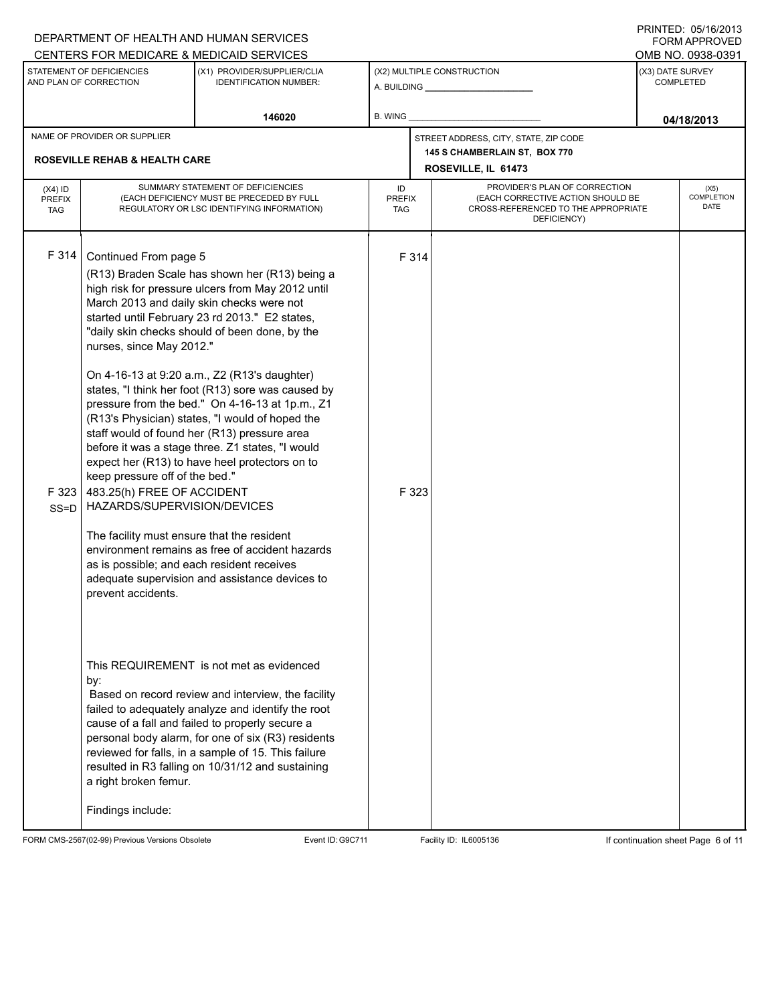|                                          |                                                                                                                                                                                                                                                                    | DEPARTMENT OF HEALTH AND HUMAN SERVICES<br>CENTERS FOR MEDICARE & MEDICAID SERVICES                                                                                                                                                                                                                                                                                                                                                                                                                                                                                                                                                                                                                                         |         |                                                                                                                                                         |                                                                                               |                  | <b>FORM APPROVED</b><br>OMB NO. 0938-0391 |
|------------------------------------------|--------------------------------------------------------------------------------------------------------------------------------------------------------------------------------------------------------------------------------------------------------------------|-----------------------------------------------------------------------------------------------------------------------------------------------------------------------------------------------------------------------------------------------------------------------------------------------------------------------------------------------------------------------------------------------------------------------------------------------------------------------------------------------------------------------------------------------------------------------------------------------------------------------------------------------------------------------------------------------------------------------------|---------|---------------------------------------------------------------------------------------------------------------------------------------------------------|-----------------------------------------------------------------------------------------------|------------------|-------------------------------------------|
|                                          | STATEMENT OF DEFICIENCIES<br>AND PLAN OF CORRECTION                                                                                                                                                                                                                | (X1) PROVIDER/SUPPLIER/CLIA<br><b>IDENTIFICATION NUMBER:</b>                                                                                                                                                                                                                                                                                                                                                                                                                                                                                                                                                                                                                                                                |         |                                                                                                                                                         | (X2) MULTIPLE CONSTRUCTION                                                                    | (X3) DATE SURVEY | COMPLETED                                 |
|                                          |                                                                                                                                                                                                                                                                    | 146020                                                                                                                                                                                                                                                                                                                                                                                                                                                                                                                                                                                                                                                                                                                      | B. WING |                                                                                                                                                         |                                                                                               |                  | 04/18/2013                                |
|                                          | NAME OF PROVIDER OR SUPPLIER<br><b>ROSEVILLE REHAB &amp; HEALTH CARE</b>                                                                                                                                                                                           |                                                                                                                                                                                                                                                                                                                                                                                                                                                                                                                                                                                                                                                                                                                             |         |                                                                                                                                                         | STREET ADDRESS, CITY, STATE, ZIP CODE<br>145 S CHAMBERLAIN ST, BOX 770<br>ROSEVILLE, IL 61473 |                  |                                           |
| $(X4)$ ID<br><b>PREFIX</b><br><b>TAG</b> |                                                                                                                                                                                                                                                                    | SUMMARY STATEMENT OF DEFICIENCIES<br>(EACH DEFICIENCY MUST BE PRECEDED BY FULL<br>REGULATORY OR LSC IDENTIFYING INFORMATION)                                                                                                                                                                                                                                                                                                                                                                                                                                                                                                                                                                                                | ID      | PROVIDER'S PLAN OF CORRECTION<br>(EACH CORRECTIVE ACTION SHOULD BE<br><b>PREFIX</b><br>CROSS-REFERENCED TO THE APPROPRIATE<br><b>TAG</b><br>DEFICIENCY) |                                                                                               |                  | (X5)<br>COMPLETION<br>DATE                |
| F 314<br>F 323<br>$SS = D$               | Continued From page 5<br>nurses, since May 2012."<br>keep pressure off of the bed."<br>483.25(h) FREE OF ACCIDENT<br>HAZARDS/SUPERVISION/DEVICES<br>The facility must ensure that the resident<br>as is possible; and each resident receives<br>prevent accidents. | (R13) Braden Scale has shown her (R13) being a<br>high risk for pressure ulcers from May 2012 until<br>March 2013 and daily skin checks were not<br>started until February 23 rd 2013." E2 states,<br>"daily skin checks should of been done, by the<br>On 4-16-13 at 9:20 a.m., Z2 (R13's daughter)<br>states, "I think her foot (R13) sore was caused by<br>pressure from the bed." On 4-16-13 at 1p.m., Z1<br>(R13's Physician) states, "I would of hoped the<br>staff would of found her (R13) pressure area<br>before it was a stage three. Z1 states, "I would<br>expect her (R13) to have heel protectors on to<br>environment remains as free of accident hazards<br>adequate supervision and assistance devices to |         | F 314<br>F 323                                                                                                                                          |                                                                                               |                  |                                           |
|                                          | by:<br>a right broken femur.<br>Findings include:                                                                                                                                                                                                                  | This REQUIREMENT is not met as evidenced<br>Based on record review and interview, the facility<br>failed to adequately analyze and identify the root<br>cause of a fall and failed to properly secure a<br>personal body alarm, for one of six (R3) residents<br>reviewed for falls, in a sample of 15. This failure<br>resulted in R3 falling on 10/31/12 and sustaining                                                                                                                                                                                                                                                                                                                                                   |         |                                                                                                                                                         |                                                                                               |                  |                                           |

FORM CMS-2567(02-99) Previous Versions Obsolete Event ID:G9C711 Facility ID: IL6005136 If continuation sheet Page 6 of 11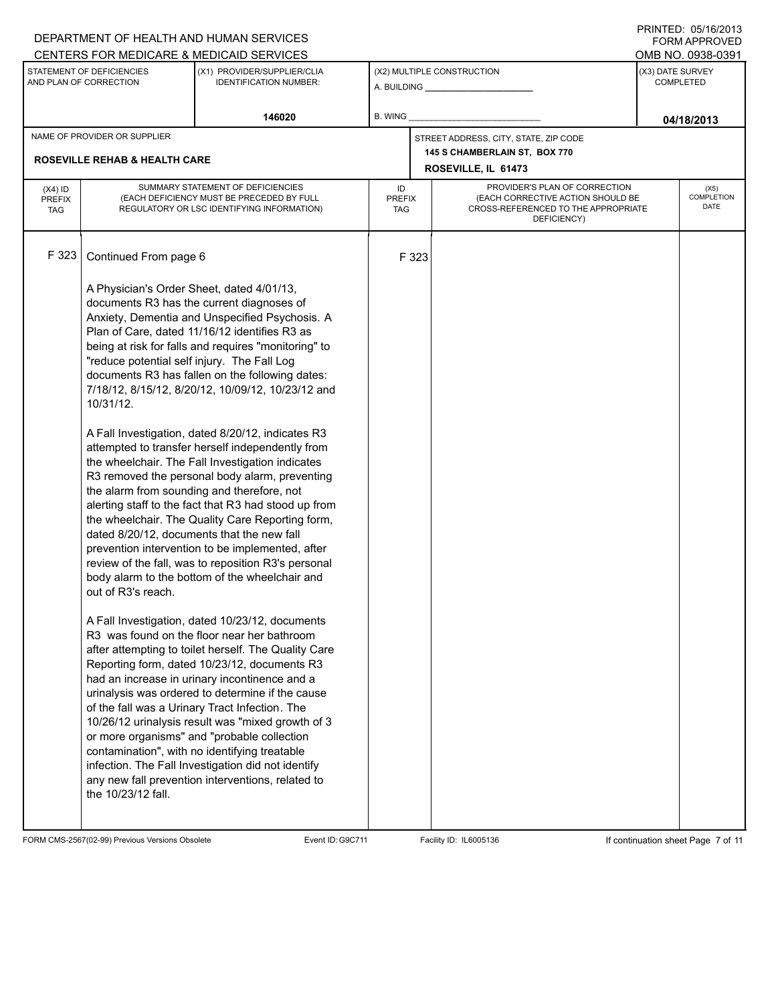|                             |                                                                                                                 | DEPARTMENT OF HEALTH AND HUMAN SERVICES                                                                  |                             |       |                                                                          |                                       | <b>FORM APPROVED</b> |  |
|-----------------------------|-----------------------------------------------------------------------------------------------------------------|----------------------------------------------------------------------------------------------------------|-----------------------------|-------|--------------------------------------------------------------------------|---------------------------------------|----------------------|--|
|                             | STATEMENT OF DEFICIENCIES                                                                                       | CENTERS FOR MEDICARE & MEDICAID SERVICES<br>(X1) PROVIDER/SUPPLIER/CLIA                                  |                             |       | (X2) MULTIPLE CONSTRUCTION                                               | OMB NO. 0938-0391<br>(X3) DATE SURVEY |                      |  |
|                             | AND PLAN OF CORRECTION                                                                                          | <b>IDENTIFICATION NUMBER:</b>                                                                            |                             |       | A. BUILDING __________________                                           |                                       | <b>COMPLETED</b>     |  |
|                             |                                                                                                                 | 146020                                                                                                   | B. WING                     |       |                                                                          |                                       | 04/18/2013           |  |
|                             | NAME OF PROVIDER OR SUPPLIER                                                                                    |                                                                                                          |                             |       | STREET ADDRESS, CITY, STATE, ZIP CODE                                    |                                       |                      |  |
|                             | <b>ROSEVILLE REHAB &amp; HEALTH CARE</b>                                                                        |                                                                                                          |                             |       | 145 S CHAMBERLAIN ST, BOX 770                                            |                                       |                      |  |
|                             |                                                                                                                 |                                                                                                          |                             |       | ROSEVILLE, IL 61473                                                      |                                       |                      |  |
| $(X4)$ ID                   |                                                                                                                 | SUMMARY STATEMENT OF DEFICIENCIES                                                                        | ID                          |       | PROVIDER'S PLAN OF CORRECTION                                            |                                       | (X5)                 |  |
| <b>PREFIX</b><br><b>TAG</b> |                                                                                                                 | (EACH DEFICIENCY MUST BE PRECEDED BY FULL<br>REGULATORY OR LSC IDENTIFYING INFORMATION)                  | <b>PREFIX</b><br><b>TAG</b> |       | (EACH CORRECTIVE ACTION SHOULD BE<br>CROSS-REFERENCED TO THE APPROPRIATE | <b>COMPLETION</b><br><b>DATE</b>      |                      |  |
|                             |                                                                                                                 |                                                                                                          |                             |       | DEFICIENCY)                                                              |                                       |                      |  |
| F 323                       | Continued From page 6<br>A Physician's Order Sheet, dated 4/01/13,<br>documents R3 has the current diagnoses of |                                                                                                          |                             | F 323 |                                                                          |                                       |                      |  |
|                             |                                                                                                                 | Anxiety, Dementia and Unspecified Psychosis. A                                                           |                             |       |                                                                          |                                       |                      |  |
|                             |                                                                                                                 | Plan of Care, dated 11/16/12 identifies R3 as                                                            |                             |       |                                                                          |                                       |                      |  |
|                             |                                                                                                                 | being at risk for falls and requires "monitoring" to                                                     |                             |       |                                                                          |                                       |                      |  |
|                             | "reduce potential self injury. The Fall Log                                                                     | documents R3 has fallen on the following dates:                                                          |                             |       |                                                                          |                                       |                      |  |
|                             |                                                                                                                 | 7/18/12, 8/15/12, 8/20/12, 10/09/12, 10/23/12 and                                                        |                             |       |                                                                          |                                       |                      |  |
|                             | 10/31/12.                                                                                                       |                                                                                                          |                             |       |                                                                          |                                       |                      |  |
|                             |                                                                                                                 |                                                                                                          |                             |       |                                                                          |                                       |                      |  |
|                             |                                                                                                                 | A Fall Investigation, dated 8/20/12, indicates R3<br>attempted to transfer herself independently from    |                             |       |                                                                          |                                       |                      |  |
|                             |                                                                                                                 | the wheelchair. The Fall Investigation indicates                                                         |                             |       |                                                                          |                                       |                      |  |
|                             |                                                                                                                 | R3 removed the personal body alarm, preventing                                                           |                             |       |                                                                          |                                       |                      |  |
|                             |                                                                                                                 | the alarm from sounding and therefore, not                                                               |                             |       |                                                                          |                                       |                      |  |
|                             |                                                                                                                 | alerting staff to the fact that R3 had stood up from<br>the wheelchair. The Quality Care Reporting form, |                             |       |                                                                          |                                       |                      |  |
|                             |                                                                                                                 | dated 8/20/12, documents that the new fall                                                               |                             |       |                                                                          |                                       |                      |  |
|                             |                                                                                                                 | prevention intervention to be implemented, after                                                         |                             |       |                                                                          |                                       |                      |  |
|                             |                                                                                                                 | review of the fall, was to reposition R3's personal                                                      |                             |       |                                                                          |                                       |                      |  |
|                             | out of R3's reach.                                                                                              | body alarm to the bottom of the wheelchair and                                                           |                             |       |                                                                          |                                       |                      |  |
|                             |                                                                                                                 |                                                                                                          |                             |       |                                                                          |                                       |                      |  |
|                             |                                                                                                                 | A Fall Investigation, dated 10/23/12, documents                                                          |                             |       |                                                                          |                                       |                      |  |
|                             |                                                                                                                 | R3 was found on the floor near her bathroom                                                              |                             |       |                                                                          |                                       |                      |  |
|                             |                                                                                                                 | after attempting to toilet herself. The Quality Care<br>Reporting form, dated 10/23/12, documents R3     |                             |       |                                                                          |                                       |                      |  |
|                             |                                                                                                                 | had an increase in urinary incontinence and a                                                            |                             |       |                                                                          |                                       |                      |  |
|                             |                                                                                                                 | urinalysis was ordered to determine if the cause                                                         |                             |       |                                                                          |                                       |                      |  |
|                             |                                                                                                                 | of the fall was a Urinary Tract Infection. The                                                           |                             |       |                                                                          |                                       |                      |  |
|                             |                                                                                                                 | 10/26/12 urinalysis result was "mixed growth of 3                                                        |                             |       |                                                                          |                                       |                      |  |
|                             |                                                                                                                 | or more organisms" and "probable collection<br>contamination", with no identifying treatable             |                             |       |                                                                          |                                       |                      |  |
|                             |                                                                                                                 | infection. The Fall Investigation did not identify                                                       |                             |       |                                                                          |                                       |                      |  |
|                             |                                                                                                                 | any new fall prevention interventions, related to                                                        |                             |       |                                                                          |                                       |                      |  |
|                             | the 10/23/12 fall.                                                                                              |                                                                                                          |                             |       |                                                                          |                                       |                      |  |
|                             |                                                                                                                 |                                                                                                          |                             |       |                                                                          |                                       |                      |  |
|                             |                                                                                                                 |                                                                                                          |                             |       |                                                                          |                                       |                      |  |

FORM CMS-2567(02-99) Previous Versions Obsolete Event ID:G9C711 Facility ID: IL6005136 If continuation sheet Page 7 of 11

DEPARTMENT OF HEALTH AND HUMAN SERVICES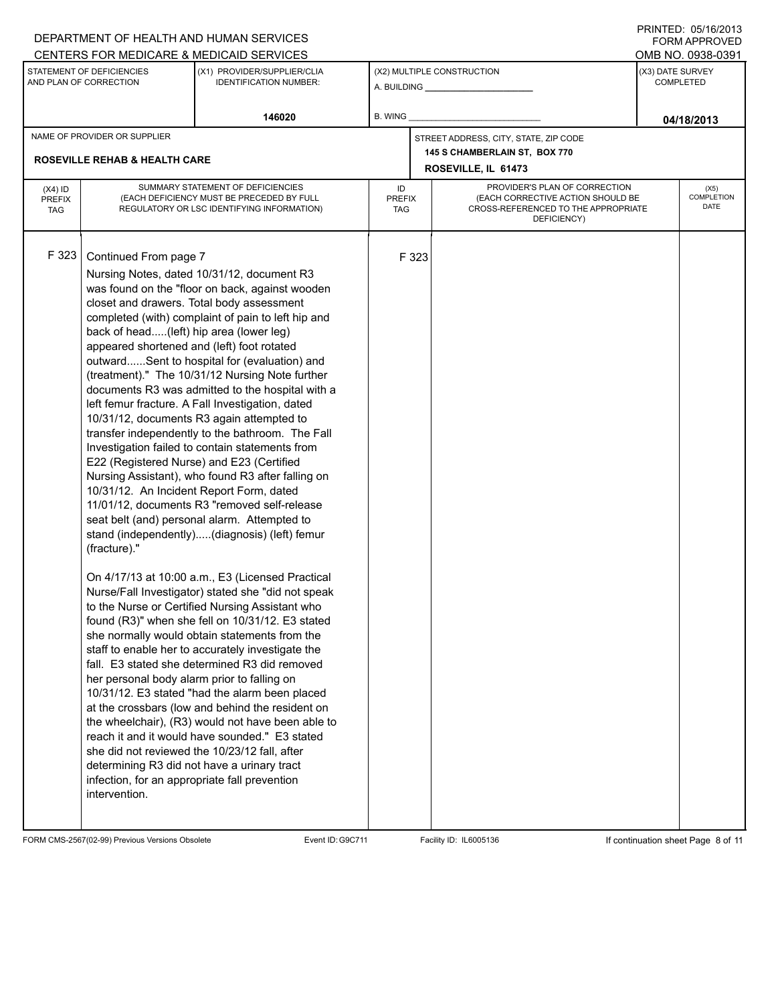|                                          |                                                                                                                                                                                                                                                                                                                                                                                         | DEPARTMENT OF HEALTH AND HUMAN SERVICES<br>CENTERS FOR MEDICARE & MEDICAID SERVICES                                                                                                                                                                                                                                                                                                                                                                                                                                                                                                                                                                                                                                                                                                                                                                                                                                                                                                                                                                                                                                                                                                                                                                                                                                                                                                                         |                                   |       |                                                                                                                          |                               | 1111 L D. VY 1974 U<br><b>FORM APPROVED</b><br>OMB NO. 0938-0391 |
|------------------------------------------|-----------------------------------------------------------------------------------------------------------------------------------------------------------------------------------------------------------------------------------------------------------------------------------------------------------------------------------------------------------------------------------------|-------------------------------------------------------------------------------------------------------------------------------------------------------------------------------------------------------------------------------------------------------------------------------------------------------------------------------------------------------------------------------------------------------------------------------------------------------------------------------------------------------------------------------------------------------------------------------------------------------------------------------------------------------------------------------------------------------------------------------------------------------------------------------------------------------------------------------------------------------------------------------------------------------------------------------------------------------------------------------------------------------------------------------------------------------------------------------------------------------------------------------------------------------------------------------------------------------------------------------------------------------------------------------------------------------------------------------------------------------------------------------------------------------------|-----------------------------------|-------|--------------------------------------------------------------------------------------------------------------------------|-------------------------------|------------------------------------------------------------------|
|                                          | STATEMENT OF DEFICIENCIES<br>AND PLAN OF CORRECTION                                                                                                                                                                                                                                                                                                                                     | (X1) PROVIDER/SUPPLIER/CLIA<br><b>IDENTIFICATION NUMBER:</b>                                                                                                                                                                                                                                                                                                                                                                                                                                                                                                                                                                                                                                                                                                                                                                                                                                                                                                                                                                                                                                                                                                                                                                                                                                                                                                                                                |                                   |       | (X2) MULTIPLE CONSTRUCTION                                                                                               | (X3) DATE SURVEY<br>COMPLETED |                                                                  |
|                                          |                                                                                                                                                                                                                                                                                                                                                                                         | 146020                                                                                                                                                                                                                                                                                                                                                                                                                                                                                                                                                                                                                                                                                                                                                                                                                                                                                                                                                                                                                                                                                                                                                                                                                                                                                                                                                                                                      | B. WING                           |       |                                                                                                                          |                               | 04/18/2013                                                       |
|                                          | NAME OF PROVIDER OR SUPPLIER                                                                                                                                                                                                                                                                                                                                                            |                                                                                                                                                                                                                                                                                                                                                                                                                                                                                                                                                                                                                                                                                                                                                                                                                                                                                                                                                                                                                                                                                                                                                                                                                                                                                                                                                                                                             |                                   |       | STREET ADDRESS, CITY, STATE, ZIP CODE<br>145 S CHAMBERLAIN ST, BOX 770                                                   |                               |                                                                  |
|                                          | <b>ROSEVILLE REHAB &amp; HEALTH CARE</b>                                                                                                                                                                                                                                                                                                                                                |                                                                                                                                                                                                                                                                                                                                                                                                                                                                                                                                                                                                                                                                                                                                                                                                                                                                                                                                                                                                                                                                                                                                                                                                                                                                                                                                                                                                             |                                   |       | ROSEVILLE, IL 61473                                                                                                      |                               |                                                                  |
| $(X4)$ ID<br><b>PREFIX</b><br><b>TAG</b> |                                                                                                                                                                                                                                                                                                                                                                                         | SUMMARY STATEMENT OF DEFICIENCIES<br>(EACH DEFICIENCY MUST BE PRECEDED BY FULL<br>REGULATORY OR LSC IDENTIFYING INFORMATION)                                                                                                                                                                                                                                                                                                                                                                                                                                                                                                                                                                                                                                                                                                                                                                                                                                                                                                                                                                                                                                                                                                                                                                                                                                                                                | ID<br><b>PREFIX</b><br><b>TAG</b> |       | PROVIDER'S PLAN OF CORRECTION<br>(EACH CORRECTIVE ACTION SHOULD BE<br>CROSS-REFERENCED TO THE APPROPRIATE<br>DEFICIENCY) |                               | (X5)<br>COMPLETION<br>DATE                                       |
| F 323                                    | Continued From page 7<br>back of head(left) hip area (lower leg)<br>appeared shortened and (left) foot rotated<br>E22 (Registered Nurse) and E23 (Certified<br>10/31/12. An Incident Report Form, dated<br>(fracture)."<br>her personal body alarm prior to falling on<br>determining R3 did not have a urinary tract<br>infection, for an appropriate fall prevention<br>intervention. | Nursing Notes, dated 10/31/12, document R3<br>was found on the "floor on back, against wooden<br>closet and drawers. Total body assessment<br>completed (with) complaint of pain to left hip and<br>outwardSent to hospital for (evaluation) and<br>(treatment)." The 10/31/12 Nursing Note further<br>documents R3 was admitted to the hospital with a<br>left femur fracture. A Fall Investigation, dated<br>10/31/12, documents R3 again attempted to<br>transfer independently to the bathroom. The Fall<br>Investigation failed to contain statements from<br>Nursing Assistant), who found R3 after falling on<br>11/01/12, documents R3 "removed self-release<br>seat belt (and) personal alarm. Attempted to<br>stand (independently)(diagnosis) (left) femur<br>On 4/17/13 at 10:00 a.m., E3 (Licensed Practical<br>Nurse/Fall Investigator) stated she "did not speak<br>to the Nurse or Certified Nursing Assistant who<br>found (R3)" when she fell on 10/31/12. E3 stated<br>she normally would obtain statements from the<br>staff to enable her to accurately investigate the<br>fall. E3 stated she determined R3 did removed<br>10/31/12. E3 stated "had the alarm been placed<br>at the crossbars (low and behind the resident on<br>the wheelchair), (R3) would not have been able to<br>reach it and it would have sounded." E3 stated<br>she did not reviewed the 10/23/12 fall, after |                                   | F 323 |                                                                                                                          |                               |                                                                  |

FORM CMS-2567(02-99) Previous Versions Obsolete Event ID:G9C711 Facility ID: IL6005136 If continuation sheet Page 8 of 11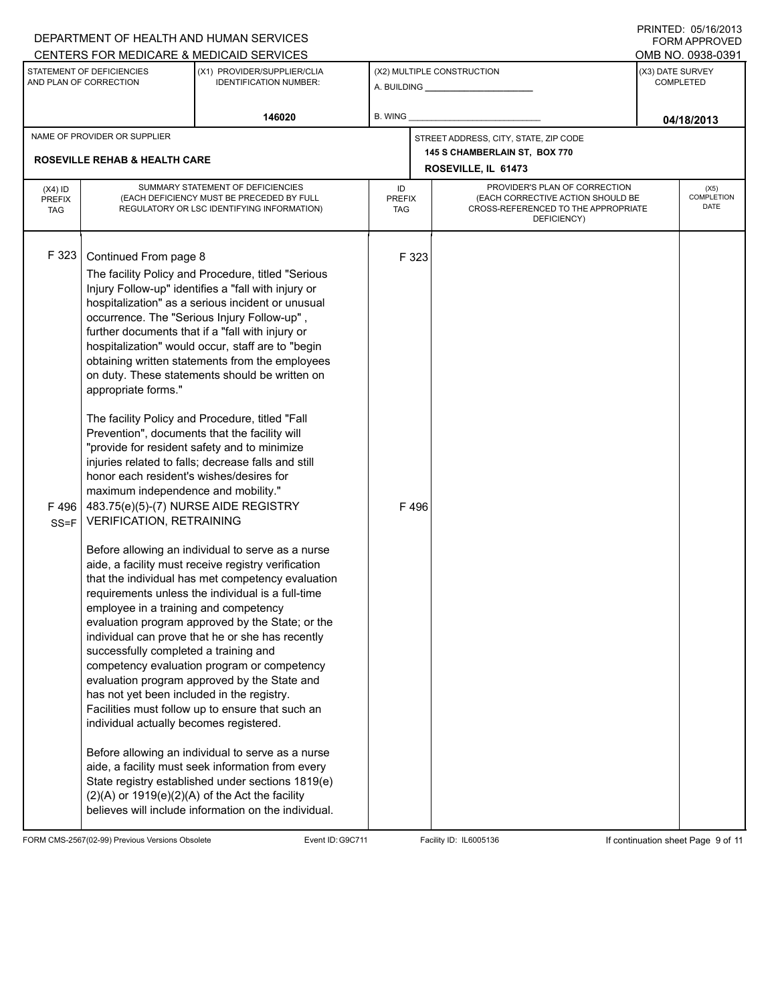|                                          |                                                                                                                                                                                                                                                                                                                                                                                                                                        | DEPARTMENT OF HEALTH AND HUMAN SERVICES<br>CENTERS FOR MEDICARE & MEDICAID SERVICES                                                                                                                                                                                                                                                                                                                                                                                                                                                                                                                                                                                                                                                                                                                                                                                                                                                                                                                                                                                                                                                                                                                                                                                                                                                                   |                                       |                                                                                                                                                         |                                                      |                                      | <b>FORM APPROVED</b><br>OMB NO. 0938-0391 |  |  |
|------------------------------------------|----------------------------------------------------------------------------------------------------------------------------------------------------------------------------------------------------------------------------------------------------------------------------------------------------------------------------------------------------------------------------------------------------------------------------------------|-------------------------------------------------------------------------------------------------------------------------------------------------------------------------------------------------------------------------------------------------------------------------------------------------------------------------------------------------------------------------------------------------------------------------------------------------------------------------------------------------------------------------------------------------------------------------------------------------------------------------------------------------------------------------------------------------------------------------------------------------------------------------------------------------------------------------------------------------------------------------------------------------------------------------------------------------------------------------------------------------------------------------------------------------------------------------------------------------------------------------------------------------------------------------------------------------------------------------------------------------------------------------------------------------------------------------------------------------------|---------------------------------------|---------------------------------------------------------------------------------------------------------------------------------------------------------|------------------------------------------------------|--------------------------------------|-------------------------------------------|--|--|
|                                          | STATEMENT OF DEFICIENCIES<br>AND PLAN OF CORRECTION                                                                                                                                                                                                                                                                                                                                                                                    | (X1) PROVIDER/SUPPLIER/CLIA<br><b>IDENTIFICATION NUMBER:</b>                                                                                                                                                                                                                                                                                                                                                                                                                                                                                                                                                                                                                                                                                                                                                                                                                                                                                                                                                                                                                                                                                                                                                                                                                                                                                          | (X2) MULTIPLE CONSTRUCTION            |                                                                                                                                                         |                                                      | (X3) DATE SURVEY<br><b>COMPLETED</b> |                                           |  |  |
|                                          |                                                                                                                                                                                                                                                                                                                                                                                                                                        | 146020                                                                                                                                                                                                                                                                                                                                                                                                                                                                                                                                                                                                                                                                                                                                                                                                                                                                                                                                                                                                                                                                                                                                                                                                                                                                                                                                                | B. WING                               |                                                                                                                                                         |                                                      |                                      | 04/18/2013                                |  |  |
|                                          | NAME OF PROVIDER OR SUPPLIER                                                                                                                                                                                                                                                                                                                                                                                                           |                                                                                                                                                                                                                                                                                                                                                                                                                                                                                                                                                                                                                                                                                                                                                                                                                                                                                                                                                                                                                                                                                                                                                                                                                                                                                                                                                       | STREET ADDRESS, CITY, STATE, ZIP CODE |                                                                                                                                                         |                                                      |                                      |                                           |  |  |
|                                          | <b>ROSEVILLE REHAB &amp; HEALTH CARE</b>                                                                                                                                                                                                                                                                                                                                                                                               |                                                                                                                                                                                                                                                                                                                                                                                                                                                                                                                                                                                                                                                                                                                                                                                                                                                                                                                                                                                                                                                                                                                                                                                                                                                                                                                                                       |                                       |                                                                                                                                                         | 145 S CHAMBERLAIN ST, BOX 770<br>ROSEVILLE, IL 61473 |                                      |                                           |  |  |
| $(X4)$ ID<br><b>PREFIX</b><br><b>TAG</b> |                                                                                                                                                                                                                                                                                                                                                                                                                                        | SUMMARY STATEMENT OF DEFICIENCIES<br>(EACH DEFICIENCY MUST BE PRECEDED BY FULL<br>REGULATORY OR LSC IDENTIFYING INFORMATION)                                                                                                                                                                                                                                                                                                                                                                                                                                                                                                                                                                                                                                                                                                                                                                                                                                                                                                                                                                                                                                                                                                                                                                                                                          | ID                                    | PROVIDER'S PLAN OF CORRECTION<br>(EACH CORRECTIVE ACTION SHOULD BE<br><b>PREFIX</b><br>CROSS-REFERENCED TO THE APPROPRIATE<br><b>TAG</b><br>DEFICIENCY) |                                                      |                                      | (X5)<br>COMPLETION<br>DATE                |  |  |
| F 323<br>F496<br>$SS = F$                | Continued From page 8<br>appropriate forms."<br>Prevention", documents that the facility will<br>honor each resident's wishes/desires for<br>maximum independence and mobility."<br>483.75(e)(5)-(7) NURSE AIDE REGISTRY<br><b>VERIFICATION, RETRAINING</b><br>employee in a training and competency<br>successfully completed a training and<br>has not yet been included in the registry.<br>individual actually becomes registered. | The facility Policy and Procedure, titled "Serious<br>Injury Follow-up" identifies a "fall with injury or<br>hospitalization" as a serious incident or unusual<br>occurrence. The "Serious Injury Follow-up",<br>further documents that if a "fall with injury or<br>hospitalization" would occur, staff are to "begin<br>obtaining written statements from the employees<br>on duty. These statements should be written on<br>The facility Policy and Procedure, titled "Fall<br>"provide for resident safety and to minimize<br>injuries related to falls; decrease falls and still<br>Before allowing an individual to serve as a nurse<br>aide, a facility must receive registry verification<br>that the individual has met competency evaluation<br>requirements unless the individual is a full-time<br>evaluation program approved by the State; or the<br>individual can prove that he or she has recently<br>competency evaluation program or competency<br>evaluation program approved by the State and<br>Facilities must follow up to ensure that such an<br>Before allowing an individual to serve as a nurse<br>aide, a facility must seek information from every<br>State registry established under sections 1819(e)<br>$(2)(A)$ or 1919 $(e)(2)(A)$ of the Act the facility<br>believes will include information on the individual. |                                       | F 323<br>F496                                                                                                                                           |                                                      |                                      |                                           |  |  |

FORM CMS-2567(02-99) Previous Versions Obsolete Event ID:G9C711 Facility ID: IL6005136 If continuation sheet Page 9 of 11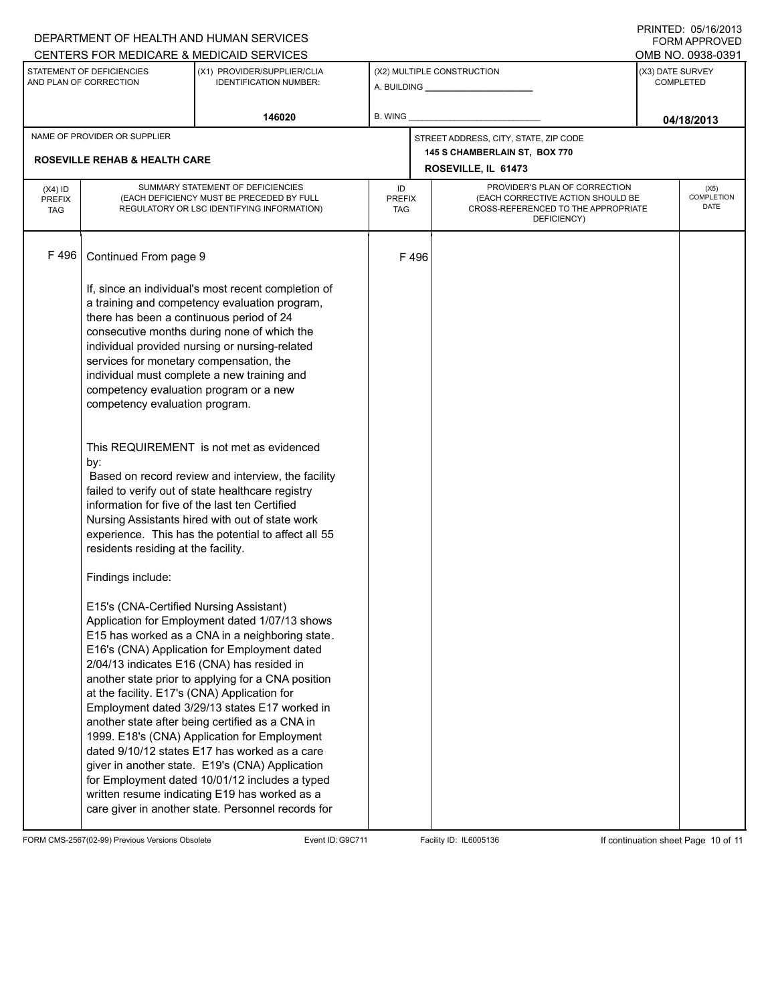|                                          |                                                                                                                                                                                                                                                                                                                                                                                 | DEPARTMENT OF HEALTH AND HUMAN SERVICES                                                                                                                                                                                                                                                                                                                                                                                                                                                                                                                                                                                                                                                                                                                                                                                                                                                                                                                                                                                                                                                  |         |                                                                                                                                                  |                                                      |                  | ⊍ ו ש∠ שטו ו שטו ו אוויו<br><b>FORM APPROVED</b> |
|------------------------------------------|---------------------------------------------------------------------------------------------------------------------------------------------------------------------------------------------------------------------------------------------------------------------------------------------------------------------------------------------------------------------------------|------------------------------------------------------------------------------------------------------------------------------------------------------------------------------------------------------------------------------------------------------------------------------------------------------------------------------------------------------------------------------------------------------------------------------------------------------------------------------------------------------------------------------------------------------------------------------------------------------------------------------------------------------------------------------------------------------------------------------------------------------------------------------------------------------------------------------------------------------------------------------------------------------------------------------------------------------------------------------------------------------------------------------------------------------------------------------------------|---------|--------------------------------------------------------------------------------------------------------------------------------------------------|------------------------------------------------------|------------------|--------------------------------------------------|
|                                          |                                                                                                                                                                                                                                                                                                                                                                                 | CENTERS FOR MEDICARE & MEDICAID SERVICES                                                                                                                                                                                                                                                                                                                                                                                                                                                                                                                                                                                                                                                                                                                                                                                                                                                                                                                                                                                                                                                 |         |                                                                                                                                                  |                                                      |                  | OMB NO. 0938-0391                                |
|                                          | STATEMENT OF DEFICIENCIES<br>AND PLAN OF CORRECTION                                                                                                                                                                                                                                                                                                                             | (X1) PROVIDER/SUPPLIER/CLIA<br><b>IDENTIFICATION NUMBER:</b>                                                                                                                                                                                                                                                                                                                                                                                                                                                                                                                                                                                                                                                                                                                                                                                                                                                                                                                                                                                                                             |         |                                                                                                                                                  | (X2) MULTIPLE CONSTRUCTION                           | (X3) DATE SURVEY | <b>COMPLETED</b>                                 |
|                                          |                                                                                                                                                                                                                                                                                                                                                                                 | 146020                                                                                                                                                                                                                                                                                                                                                                                                                                                                                                                                                                                                                                                                                                                                                                                                                                                                                                                                                                                                                                                                                   | B. WING |                                                                                                                                                  |                                                      |                  | 04/18/2013                                       |
|                                          | NAME OF PROVIDER OR SUPPLIER                                                                                                                                                                                                                                                                                                                                                    |                                                                                                                                                                                                                                                                                                                                                                                                                                                                                                                                                                                                                                                                                                                                                                                                                                                                                                                                                                                                                                                                                          |         |                                                                                                                                                  | STREET ADDRESS, CITY, STATE, ZIP CODE                |                  |                                                  |
|                                          | <b>ROSEVILLE REHAB &amp; HEALTH CARE</b>                                                                                                                                                                                                                                                                                                                                        |                                                                                                                                                                                                                                                                                                                                                                                                                                                                                                                                                                                                                                                                                                                                                                                                                                                                                                                                                                                                                                                                                          |         |                                                                                                                                                  | 145 S CHAMBERLAIN ST, BOX 770<br>ROSEVILLE, IL 61473 |                  |                                                  |
| $(X4)$ ID<br><b>PREFIX</b><br><b>TAG</b> |                                                                                                                                                                                                                                                                                                                                                                                 | SUMMARY STATEMENT OF DEFICIENCIES<br>(EACH DEFICIENCY MUST BE PRECEDED BY FULL<br>REGULATORY OR LSC IDENTIFYING INFORMATION)                                                                                                                                                                                                                                                                                                                                                                                                                                                                                                                                                                                                                                                                                                                                                                                                                                                                                                                                                             | ID      | PROVIDER'S PLAN OF CORRECTION<br>(EACH CORRECTIVE ACTION SHOULD BE<br><b>PREFIX</b><br>CROSS-REFERENCED TO THE APPROPRIATE<br>TAG<br>DEFICIENCY) |                                                      |                  | (X5)<br>COMPLETION<br>DATE                       |
| F496                                     | Continued From page 9                                                                                                                                                                                                                                                                                                                                                           |                                                                                                                                                                                                                                                                                                                                                                                                                                                                                                                                                                                                                                                                                                                                                                                                                                                                                                                                                                                                                                                                                          |         | F496                                                                                                                                             |                                                      |                  |                                                  |
|                                          | there has been a continuous period of 24<br>services for monetary compensation, the<br>competency evaluation program or a new<br>competency evaluation program.<br>by:<br>information for five of the last ten Certified<br>residents residing at the facility.<br>Findings include:<br>E15's (CNA-Certified Nursing Assistant)<br>at the facility. E17's (CNA) Application for | If, since an individual's most recent completion of<br>a training and competency evaluation program,<br>consecutive months during none of which the<br>individual provided nursing or nursing-related<br>individual must complete a new training and<br>This REQUIREMENT is not met as evidenced<br>Based on record review and interview, the facility<br>failed to verify out of state healthcare registry<br>Nursing Assistants hired with out of state work<br>experience. This has the potential to affect all 55<br>Application for Employment dated 1/07/13 shows<br>E15 has worked as a CNA in a neighboring state.<br>E16's (CNA) Application for Employment dated<br>2/04/13 indicates E16 (CNA) has resided in<br>another state prior to applying for a CNA position<br>Employment dated 3/29/13 states E17 worked in<br>another state after being certified as a CNA in<br>1999. E18's (CNA) Application for Employment<br>dated 9/10/12 states E17 has worked as a care<br>giver in another state. E19's (CNA) Application<br>for Employment dated 10/01/12 includes a typed |         |                                                                                                                                                  |                                                      |                  |                                                  |
|                                          |                                                                                                                                                                                                                                                                                                                                                                                 | written resume indicating E19 has worked as a<br>care giver in another state. Personnel records for                                                                                                                                                                                                                                                                                                                                                                                                                                                                                                                                                                                                                                                                                                                                                                                                                                                                                                                                                                                      |         |                                                                                                                                                  |                                                      |                  |                                                  |

FORM CMS-2567(02-99) Previous Versions Obsolete Event ID:G9C711 Facility ID: IL6005136 If continuation sheet Page 10 of 11